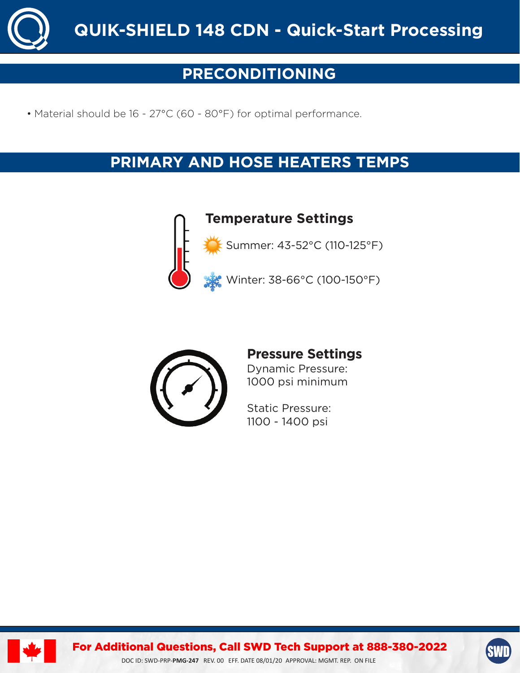

# **PRECONDITIONING**

• Material should be 16 - 27°C (60 - 80°F) for optimal performance.

# **PRIMARY AND HOSE HEATERS TEMPS**



**Temperature Settings**

Summer: 43-52°C (110-125°F)

Winter: 38-66°C (100-150°F)



# **Pressure Settings**

Dynamic Pressure: 1000 psi minimum

Static Pressure: 1100 - 1400 psi



For Additional Questions, Call SWD Tech Support at 888-380-2022

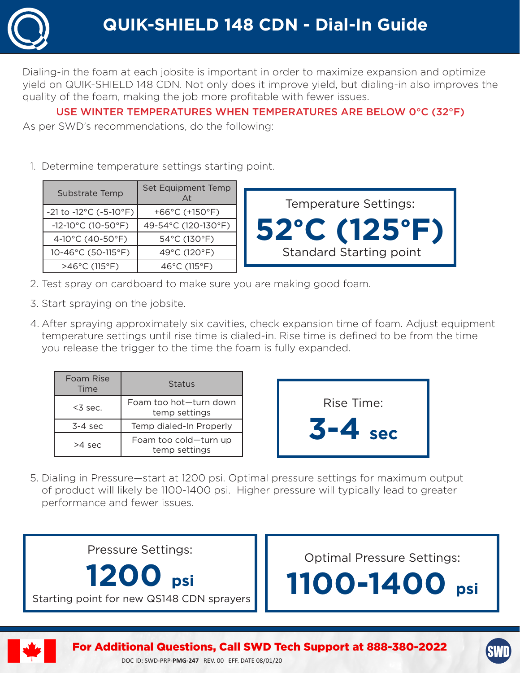

Dialing-in the foam at each jobsite is important in order to maximize expansion and optimize yield on QUIK-SHIELD 148 CDN. Not only does it improve yield, but dialing-in also improves the quality of the foam, making the job more profitable with fewer issues.

## USE WINTER TEMPERATURES WHEN TEMPERATURES ARE BELOW 0°C (32°F)

As per SWD's recommendations, do the following:

1. Determine temperature settings starting point.

| Substrate Temp                                    | Set Equipment Temp                   | <b>Temperature Settings:</b>      |
|---------------------------------------------------|--------------------------------------|-----------------------------------|
| $-21$ to $-12^{\circ}$ C ( $-5$ -10 $^{\circ}$ F) | +66 $^{\circ}$ C (+150 $^{\circ}$ F) |                                   |
| $-12 - 10^{\circ}$ C (10-50 $^{\circ}$ F)         | 49-54°C (120-130°F)                  | $52^{\circ}$ C (125 $^{\circ}$ F) |
| 4-10°C (40-50°F)                                  | 54°C (130°F)                         |                                   |
| 10-46°C (50-115°F)                                | 49°C (120°F)                         | <b>Standard Starting point</b>    |
| $>46^{\circ}$ C (115°F)                           | 46 $^{\circ}$ C (115 $^{\circ}$ F)   |                                   |

- 2. Test spray on cardboard to make sure you are making good foam.
- 3. Start spraying on the jobsite.
- 4. After spraying approximately six cavities, check expansion time of foam. Adjust equipment temperature settings until rise time is dialed-in. Rise time is defined to be from the time you release the trigger to the time the foam is fully expanded.

| Foam Rise<br>Time | Status                                  |
|-------------------|-----------------------------------------|
| $<$ 3 sec.        | Foam too hot-turn down<br>temp settings |
| $3-4$ sec         | Temp dialed-In Properly                 |
| >4 sec            | Foam too cold-turn up<br>temp settings  |



5. Dialing in Pressure—start at 1200 psi. Optimal pressure settings for maximum output of product will likely be 1100-1400 psi. Higher pressure will typically lead to greater performance and fewer issues.

Pressure Settings:

**1200 psi** Starting point for new QS148 CDN sprayers Optimal Pressure Settings:







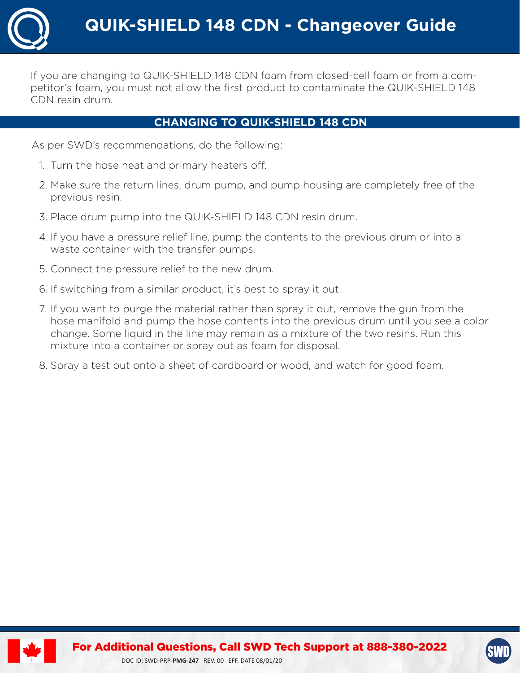

If you are changing to QUIK-SHIELD 148 CDN foam from closed-cell foam or from a competitor's foam, you must not allow the first product to contaminate the QUIK-SHIELD 148 CDN resin drum.

#### **CHANGING TO QUIK-SHIELD 148 CDN**

As per SWD's recommendations, do the following:

- 1. Turn the hose heat and primary heaters off.
- 2. Make sure the return lines, drum pump, and pump housing are completely free of the previous resin.
- 3. Place drum pump into the QUIK-SHIELD 148 CDN resin drum.
- 4. If you have a pressure relief line, pump the contents to the previous drum or into a waste container with the transfer pumps.
- 5. Connect the pressure relief to the new drum.
- 6. If switching from a similar product, it's best to spray it out.
- 7. If you want to purge the material rather than spray it out, remove the gun from the hose manifold and pump the hose contents into the previous drum until you see a color change. Some liquid in the line may remain as a mixture of the two resins. Run this mixture into a container or spray out as foam for disposal.
- 8. Spray a test out onto a sheet of cardboard or wood, and watch for good foam.



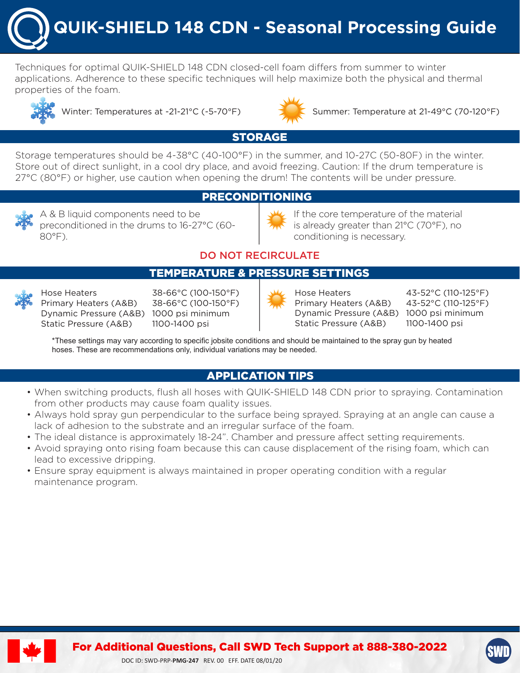**QUIK-SHIELD 148 CDN - Seasonal Processing Guide**

Techniques for optimal QUIK-SHIELD 148 CDN closed-cell foam differs from summer to winter applications. Adherence to these specific techniques will help maximize both the physical and thermal properties of the foam.





Winter: Temperatures at -21-21°C (-5-70°F) Summer: Temperature at 21-49°C (70-120°F)

## STORAGE

Storage temperatures should be 4-38°C (40-100°F) in the summer, and 10-27C (50-80F) in the winter. Store out of direct sunlight, in a cool dry place, and avoid freezing. Caution: If the drum temperature is 27°C (80°F) or higher, use caution when opening the drum! The contents will be under pressure.

#### PRECONDITIONING

A & B liquid components need to be preconditioned in the drums to 16-27°C (60- 80°F).



If the core temperature of the material is already greater than 21°C (70°F), no conditioning is necessary.

### DO NOT RECIRCULATE

#### TEMPERATURE & PRESSURE SETTINGS



Hose Heaters 38-66°C (100-150°F) Primary Heaters (A&B) 38-66°C (100-150°F) Dynamic Pressure (A&B) 1000 psi minimum Static Pressure (A&B) 1100-1400 psi



Hose Heaters 43-52°C (110-125°F) Primary Heaters (A&B) 43-52°C (110-125°F) Dynamic Pressure (A&B) 1000 psi minimum Static Pressure (A&B) 1100-1400 psi

\*These settings may vary according to specific jobsite conditions and should be maintained to the spray gun by heated hoses. These are recommendations only, individual variations may be needed.

## APPLICATION TIPS

- When switching products, flush all hoses with QUIK-SHIELD 148 CDN prior to spraying. Contamination from other products may cause foam quality issues.
- Always hold spray gun perpendicular to the surface being sprayed. Spraying at an angle can cause a lack of adhesion to the substrate and an irregular surface of the foam.
- The ideal distance is approximately 18-24". Chamber and pressure affect setting requirements.
- Avoid spraying onto rising foam because this can cause displacement of the rising foam, which can lead to excessive dripping.
- Ensure spray equipment is always maintained in proper operating condition with a regular maintenance program.



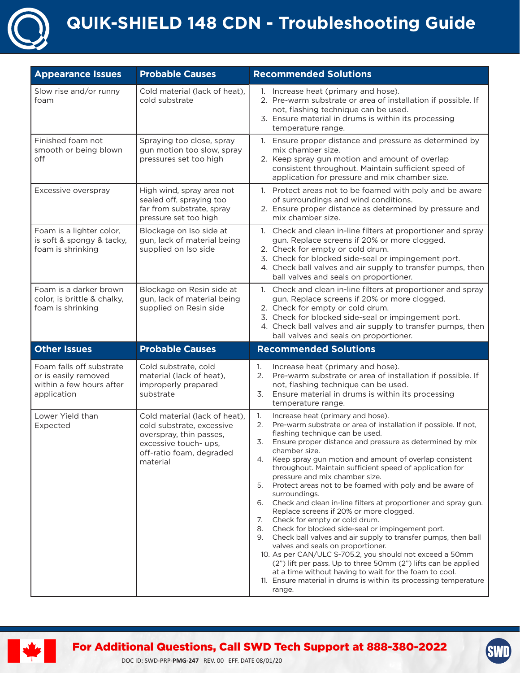

# **QUIK-SHIELD 148 CDN - Troubleshooting Guide**

| <b>Appearance Issues</b>                                                                    | <b>Probable Causes</b>                                                                                                                                 | <b>Recommended Solutions</b>                                                                                                                                                                                                                                                                                                                                                                                                                                                                                                                                                                                                                                                                                                                                                                                                                                                                                                                                                                                                                                                                   |
|---------------------------------------------------------------------------------------------|--------------------------------------------------------------------------------------------------------------------------------------------------------|------------------------------------------------------------------------------------------------------------------------------------------------------------------------------------------------------------------------------------------------------------------------------------------------------------------------------------------------------------------------------------------------------------------------------------------------------------------------------------------------------------------------------------------------------------------------------------------------------------------------------------------------------------------------------------------------------------------------------------------------------------------------------------------------------------------------------------------------------------------------------------------------------------------------------------------------------------------------------------------------------------------------------------------------------------------------------------------------|
| Slow rise and/or runny<br>foam                                                              | Cold material (lack of heat),<br>cold substrate                                                                                                        | 1. Increase heat (primary and hose).<br>2. Pre-warm substrate or area of installation if possible. If<br>not, flashing technique can be used.<br>3. Ensure material in drums is within its processing<br>temperature range.                                                                                                                                                                                                                                                                                                                                                                                                                                                                                                                                                                                                                                                                                                                                                                                                                                                                    |
| Finished foam not<br>smooth or being blown<br>off                                           | Spraying too close, spray<br>gun motion too slow, spray<br>pressures set too high                                                                      | 1. Ensure proper distance and pressure as determined by<br>mix chamber size.<br>2. Keep spray gun motion and amount of overlap<br>consistent throughout. Maintain sufficient speed of<br>application for pressure and mix chamber size.                                                                                                                                                                                                                                                                                                                                                                                                                                                                                                                                                                                                                                                                                                                                                                                                                                                        |
| Excessive overspray                                                                         | High wind, spray area not<br>sealed off, spraying too<br>far from substrate, spray<br>pressure set too high                                            | 1. Protect areas not to be foamed with poly and be aware<br>of surroundings and wind conditions.<br>2. Ensure proper distance as determined by pressure and<br>mix chamber size.                                                                                                                                                                                                                                                                                                                                                                                                                                                                                                                                                                                                                                                                                                                                                                                                                                                                                                               |
| Foam is a lighter color,<br>is soft & spongy & tacky,<br>foam is shrinking                  | Blockage on Iso side at<br>gun, lack of material being<br>supplied on Iso side                                                                         | 1. Check and clean in-line filters at proportioner and spray<br>gun. Replace screens if 20% or more clogged.<br>2. Check for empty or cold drum.<br>3. Check for blocked side-seal or impingement port.<br>4. Check ball valves and air supply to transfer pumps, then<br>ball valves and seals on proportioner.                                                                                                                                                                                                                                                                                                                                                                                                                                                                                                                                                                                                                                                                                                                                                                               |
| Foam is a darker brown<br>color, is brittle & chalky,<br>foam is shrinking                  | Blockage on Resin side at<br>gun, lack of material being<br>supplied on Resin side                                                                     | 1. Check and clean in-line filters at proportioner and spray<br>gun. Replace screens if 20% or more clogged.<br>2. Check for empty or cold drum.<br>3. Check for blocked side-seal or impingement port.<br>4. Check ball valves and air supply to transfer pumps, then<br>ball valves and seals on proportioner.                                                                                                                                                                                                                                                                                                                                                                                                                                                                                                                                                                                                                                                                                                                                                                               |
| <b>Other Issues</b>                                                                         | <b>Probable Causes</b>                                                                                                                                 | <b>Recommended Solutions</b>                                                                                                                                                                                                                                                                                                                                                                                                                                                                                                                                                                                                                                                                                                                                                                                                                                                                                                                                                                                                                                                                   |
| Foam falls off substrate<br>or is easily removed<br>within a few hours after<br>application | Cold substrate, cold<br>material (lack of heat),<br>improperly prepared<br>substrate                                                                   | Increase heat (primary and hose).<br>1.<br>2.<br>Pre-warm substrate or area of installation if possible. If<br>not, flashing technique can be used.<br>3.<br>Ensure material in drums is within its processing<br>temperature range.                                                                                                                                                                                                                                                                                                                                                                                                                                                                                                                                                                                                                                                                                                                                                                                                                                                           |
| Lower Yield than<br>Expected                                                                | Cold material (lack of heat),<br>cold substrate, excessive<br>overspray, thin passes,<br>excessive touch- ups,<br>off-ratio foam, degraded<br>material | 1.<br>Increase heat (primary and hose).<br>Pre-warm substrate or area of installation if possible. If not,<br>2.<br>flashing technique can be used.<br>3.<br>Ensure proper distance and pressure as determined by mix<br>chamber size.<br>Keep spray gun motion and amount of overlap consistent<br>4.<br>throughout. Maintain sufficient speed of application for<br>pressure and mix chamber size.<br>Protect areas not to be foamed with poly and be aware of<br>5.<br>surroundings.<br>6.<br>Check and clean in-line filters at proportioner and spray gun.<br>Replace screens if 20% or more clogged.<br>Check for empty or cold drum.<br>7.<br>Check for blocked side-seal or impingement port.<br>8.<br>Check ball valves and air supply to transfer pumps, then ball<br>9.<br>valves and seals on proportioner.<br>10. As per CAN/ULC S-705.2, you should not exceed a 50mm<br>(2") lift per pass. Up to three 50mm (2") lifts can be applied<br>at a time without having to wait for the foam to cool.<br>11. Ensure material in drums is within its processing temperature<br>range. |